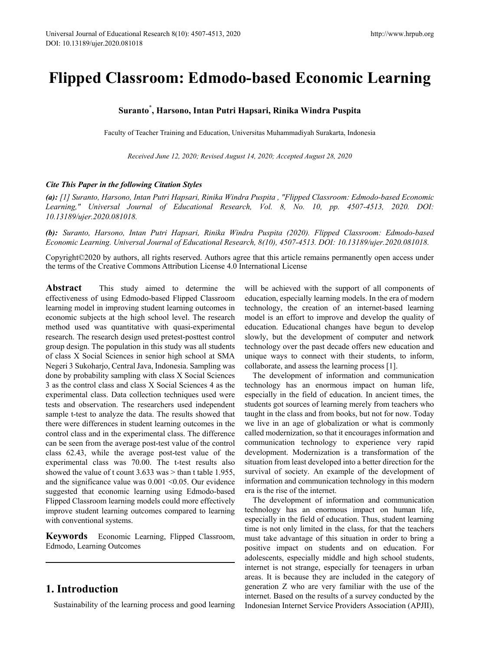# **Flipped Classroom: Edmodo-based Economic Learning**

## **Suranto\* , Harsono, Intan Putri Hapsari, Rinika Windra Puspita**

Faculty of Teacher Training and Education, Universitas Muhammadiyah Surakarta, Indonesia

*Received June 12, 2020; Revised August 14, 2020; Accepted August 28, 2020*

#### *Cite This Paper in the following Citation Styles*

*(a): [1] Suranto, Harsono, Intan Putri Hapsari, Rinika Windra Puspita , "Flipped Classroom: Edmodo-based Economic*  Learning," Universal Journal of Educational Research, Vol. 8, No. 10, pp. 4507-4513, 2020. DOI: *10.13189/ujer.2020.081018.* 

*(b): Suranto, Harsono, Intan Putri Hapsari, Rinika Windra Puspita (2020). Flipped Classroom: Edmodo-based Economic Learning. Universal Journal of Educational Research, 8(10), 4507-4513. DOI: 10.13189/ujer.2020.081018.* 

Copyright©2020 by authors, all rights reserved. Authors agree that this article remains permanently open access under the terms of the Creative Commons Attribution License 4.0 International License

**Abstract** This study aimed to determine the effectiveness of using Edmodo-based Flipped Classroom learning model in improving student learning outcomes in economic subjects at the high school level. The research method used was quantitative with quasi-experimental research. The research design used pretest-posttest control group design. The population in this study was all students of class X Social Sciences in senior high school at SMA Negeri 3 Sukoharjo, Central Java, Indonesia. Sampling was done by probability sampling with class X Social Sciences 3 as the control class and class X Social Sciences 4 as the experimental class. Data collection techniques used were tests and observation. The researchers used independent sample t-test to analyze the data. The results showed that there were differences in student learning outcomes in the control class and in the experimental class. The difference can be seen from the average post-test value of the control class 62.43, while the average post-test value of the experimental class was 70.00. The t-test results also showed the value of t count  $3.633$  was  $>$  than t table 1.955, and the significance value was  $0.001 \le 0.05$ . Our evidence suggested that economic learning using Edmodo-based Flipped Classroom learning models could more effectively improve student learning outcomes compared to learning with conventional systems.

**Keywords** Economic Learning, Flipped Classroom, Edmodo, Learning Outcomes

## **1. Introduction**

Sustainability of the learning process and good learning

will be achieved with the support of all components of education, especially learning models. In the era of modern technology, the creation of an internet-based learning model is an effort to improve and develop the quality of education. Educational changes have begun to develop slowly, but the development of computer and network technology over the past decade offers new education and unique ways to connect with their students, to inform, collaborate, and assess the learning process [1].

The development of information and communication technology has an enormous impact on human life, especially in the field of education. In ancient times, the students got sources of learning merely from teachers who taught in the class and from books, but not for now. Today we live in an age of globalization or what is commonly called modernization, so that it encourages information and communication technology to experience very rapid development. Modernization is a transformation of the situation from least developed into a better direction for the survival of society. An example of the development of information and communication technology in this modern era is the rise of the internet.

The development of information and communication technology has an enormous impact on human life, especially in the field of education. Thus, student learning time is not only limited in the class, for that the teachers must take advantage of this situation in order to bring a positive impact on students and on education. For adolescents, especially middle and high school students, internet is not strange, especially for teenagers in urban areas. It is because they are included in the category of generation Z who are very familiar with the use of the internet. Based on the results of a survey conducted by the Indonesian Internet Service Providers Association (APJII),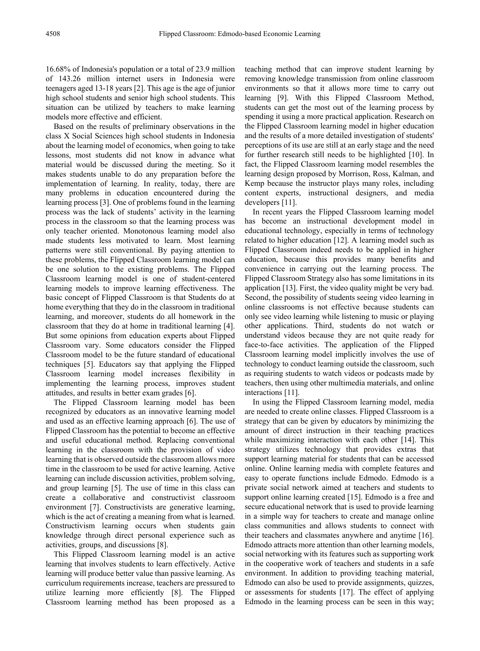16.68% of Indonesia's population or a total of 23.9 million of 143.26 million internet users in Indonesia were teenagers aged 13-18 years [2]. This age is the age of junior high school students and senior high school students. This situation can be utilized by teachers to make learning models more effective and efficient.

Based on the results of preliminary observations in the class X Social Sciences high school students in Indonesia about the learning model of economics, when going to take lessons, most students did not know in advance what material would be discussed during the meeting. So it makes students unable to do any preparation before the implementation of learning. In reality, today, there are many problems in education encountered during the learning process [3]. One of problems found in the learning process was the lack of students' activity in the learning process in the classroom so that the learning process was only teacher oriented. Monotonous learning model also made students less motivated to learn. Most learning patterns were still conventional. By paying attention to these problems, the Flipped Classroom learning model can be one solution to the existing problems. The Flipped Classroom learning model is one of student-centered learning models to improve learning effectiveness. The basic concept of Flipped Classroom is that Students do at home everything that they do in the classroom in traditional learning, and moreover, students do all homework in the classroom that they do at home in traditional learning [4]. But some opinions from education experts about Flipped Classroom vary. Some educators consider the Flipped Classroom model to be the future standard of educational techniques [5]. Educators say that applying the Flipped Classroom learning model increases flexibility in implementing the learning process, improves student attitudes, and results in better exam grades [6].

The Flipped Classroom learning model has been recognized by educators as an innovative learning model and used as an effective learning approach [6]. The use of Flipped Classroom has the potential to become an effective and useful educational method. Replacing conventional learning in the classroom with the provision of video learning that is observed outside the classroom allows more time in the classroom to be used for active learning. Active learning can include discussion activities, problem solving, and group learning [5]. The use of time in this class can create a collaborative and constructivist classroom environment [7]. Constructivists are generative learning, which is the act of creating a meaning from what is learned. Constructivism learning occurs when students gain knowledge through direct personal experience such as activities, groups, and discussions [8].

This Flipped Classroom learning model is an active learning that involves students to learn effectively. Active learning will produce better value than passive learning. As curriculum requirements increase, teachers are pressured to utilize learning more efficiently [8]. The Flipped Classroom learning method has been proposed as a teaching method that can improve student learning by removing knowledge transmission from online classroom environments so that it allows more time to carry out learning [9]. With this Flipped Classroom Method, students can get the most out of the learning process by spending it using a more practical application. Research on the Flipped Classroom learning model in higher education and the results of a more detailed investigation of students' perceptions of its use are still at an early stage and the need for further research still needs to be highlighted [10]. In fact, the Flipped Classroom learning model resembles the learning design proposed by Morrison, Ross, Kalman, and Kemp because the instructor plays many roles, including content experts, instructional designers, and media developers [11].

In recent years the Flipped Classroom learning model has become an instructional development model in educational technology, especially in terms of technology related to higher education [12]. A learning model such as Flipped Classroom indeed needs to be applied in higher education, because this provides many benefits and convenience in carrying out the learning process. The Flipped Classroom Strategy also has some limitations in its application [13]. First, the video quality might be very bad. Second, the possibility of students seeing video learning in online classrooms is not effective because students can only see video learning while listening to music or playing other applications. Third, students do not watch or understand videos because they are not quite ready for face-to-face activities. The application of the Flipped Classroom learning model implicitly involves the use of technology to conduct learning outside the classroom, such as requiring students to watch videos or podcasts made by teachers, then using other multimedia materials, and online interactions [11].

In using the Flipped Classroom learning model, media are needed to create online classes. Flipped Classroom is a strategy that can be given by educators by minimizing the amount of direct instruction in their teaching practices while maximizing interaction with each other [14]. This strategy utilizes technology that provides extras that support learning material for students that can be accessed online. Online learning media with complete features and easy to operate functions include Edmodo. Edmodo is a private social network aimed at teachers and students to support online learning created [15]. Edmodo is a free and secure educational network that is used to provide learning in a simple way for teachers to create and manage online class communities and allows students to connect with their teachers and classmates anywhere and anytime [16]. Edmodo attracts more attention than other learning models, social networking with its features such as supporting work in the cooperative work of teachers and students in a safe environment. In addition to providing teaching material, Edmodo can also be used to provide assignments, quizzes, or assessments for students [17]. The effect of applying Edmodo in the learning process can be seen in this way;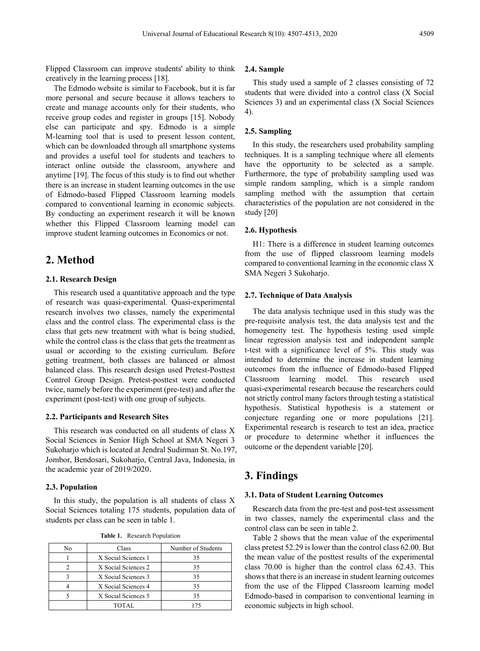Flipped Classroom can improve students' ability to think creatively in the learning process [18].

The Edmodo website is similar to Facebook, but it is far more personal and secure because it allows teachers to create and manage accounts only for their students, who receive group codes and register in groups [15]. Nobody else can participate and spy. Edmodo is a simple M-learning tool that is used to present lesson content, which can be downloaded through all smartphone systems and provides a useful tool for students and teachers to interact online outside the classroom, anywhere and anytime [19]. The focus of this study is to find out whether there is an increase in student learning outcomes in the use of Edmodo-based Flipped Classroom learning models compared to conventional learning in economic subjects. By conducting an experiment research it will be known whether this Flipped Classroom learning model can improve student learning outcomes in Economics or not.

## **2. Method**

#### **2.1. Research Design**

This research used a quantitative approach and the type of research was quasi-experimental. Quasi-experimental research involves two classes, namely the experimental class and the control class. The experimental class is the class that gets new treatment with what is being studied, while the control class is the class that gets the treatment as usual or according to the existing curriculum. Before getting treatment, both classes are balanced or almost balanced class. This research design used Pretest-Posttest Control Group Design. Pretest-posttest were conducted twice, namely before the experiment (pre-test) and after the experiment (post-test) with one group of subjects.

#### **2.2. Participants and Research Sites**

This research was conducted on all students of class X Social Sciences in Senior High School at SMA Negeri 3 Sukoharjo which is located at Jendral Sudirman St. No.197, Jombor, Bendosari, Sukoharjo, Central Java, Indonesia, in the academic year of 2019/2020.

#### **2.3. Population**

In this study, the population is all students of class X Social Sciences totaling 175 students, population data of students per class can be seen in table 1.

**Table 1.** Research Population

| No | Class               | Number of Students |  |  |  |
|----|---------------------|--------------------|--|--|--|
|    | X Social Sciences 1 | 35                 |  |  |  |
|    | X Social Sciences 2 | 35                 |  |  |  |
|    | X Social Sciences 3 | 35                 |  |  |  |
|    | X Social Sciences 4 | 35                 |  |  |  |
|    | X Social Sciences 5 | 35                 |  |  |  |
|    | TOTAL               | 175                |  |  |  |

#### **2.4. Sample**

This study used a sample of 2 classes consisting of 72 students that were divided into a control class (X Social Sciences 3) and an experimental class (X Social Sciences 4).

#### **2.5. Sampling**

In this study, the researchers used probability sampling techniques. It is a sampling technique where all elements have the opportunity to be selected as a sample. Furthermore, the type of probability sampling used was simple random sampling, which is a simple random sampling method with the assumption that certain characteristics of the population are not considered in the study [20]

#### **2.6. Hypothesis**

H1: There is a difference in student learning outcomes from the use of flipped classroom learning models compared to conventional learning in the economic class X SMA Negeri 3 Sukoharjo.

#### **2.7. Technique of Data Analysis**

The data analysis technique used in this study was the pre-requisite analysis test, the data analysis test and the homogeneity test. The hypothesis testing used simple linear regression analysis test and independent sample t-test with a significance level of 5%. This study was intended to determine the increase in student learning outcomes from the influence of Edmodo-based Flipped Classroom learning model. This research used quasi-experimental research because the researchers could not strictly control many factors through testing a statistical hypothesis. Statistical hypothesis is a statement or conjecture regarding one or more populations [21]. Experimental research is research to test an idea, practice or procedure to determine whether it influences the outcome or the dependent variable [20].

## **3. Findings**

#### **3.1. Data of Student Learning Outcomes**

Research data from the pre-test and post-test assessment in two classes, namely the experimental class and the control class can be seen in table 2.

Table 2 shows that the mean value of the experimental class pretest 52.29 is lower than the control class 62.00. But the mean value of the posttest results of the experimental class 70.00 is higher than the control class 62.43. This shows that there is an increase in student learning outcomes from the use of the Flipped Classroom learning model Edmodo-based in comparison to conventional learning in economic subjects in high school.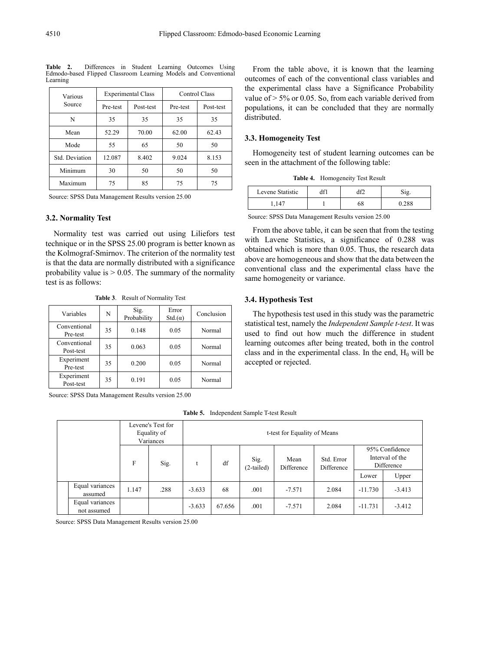| Various        |                | <b>Experimental Class</b> | Control Class |           |  |
|----------------|----------------|---------------------------|---------------|-----------|--|
| Source         | Pre-test       | Post-test                 | Pre-test      | Post-test |  |
| N              | 35             | 35                        | 35            | 35        |  |
| Mean           | 70.00<br>52.29 |                           | 62.00         | 62.43     |  |
| Mode           | 55             | 65                        | 50            | 50        |  |
| Std. Deviation | 12.087         | 8.402                     | 9.024         | 8.153     |  |
| Minimum        | 30             | 50                        | 50            | 50        |  |
| Maximum        | 75             | 85                        | 75            | 75        |  |

**Table 2.** Differences in Student Learning Outcomes Using Edmodo-based Flipped Classroom Learning Models and Conventional Learning

Source: SPSS Data Management Results version 25.00

#### **3.2. Normality Test**

Normality test was carried out using Liliefors test technique or in the SPSS 25.00 program is better known as the Kolmograf-Smirnov. The criterion of the normality test is that the data are normally distributed with a significance probability value is  $> 0.05$ . The summary of the normality test is as follows:

**Table 3**. Result of Normality Test

| Variables                 | N  | Sig.<br>Probability | Error<br>$Std(\alpha)$ | Conclusion |  |
|---------------------------|----|---------------------|------------------------|------------|--|
| Conventional<br>Pre-test  | 35 | 0.148               | 0.05                   | Normal     |  |
| Conventional<br>Post-test | 35 | 0.063               | 0.05                   | Normal     |  |
| Experiment<br>Pre-test    | 35 | 0.200               | 0.05                   | Normal     |  |
| Experiment<br>Post-test   | 35 | 0.191               | 0.05                   | Normal     |  |

Source: SPSS Data Management Results version 25.00

From the table above, it is known that the learning outcomes of each of the conventional class variables and the experimental class have a Significance Probability value of  $> 5\%$  or 0.05. So, from each variable derived from populations, it can be concluded that they are normally distributed.

#### **3.3. Homogeneity Test**

Homogeneity test of student learning outcomes can be seen in the attachment of the following table:

**Table 4.** Homogeneity Test Result

| Levene Statistic |    |  |
|------------------|----|--|
|                  | 68 |  |

Source: SPSS Data Management Results version 25.00

From the above table, it can be seen that from the testing with Lavene Statistics, a significance of 0.288 was obtained which is more than 0.05. Thus, the research data above are homogeneous and show that the data between the conventional class and the experimental class have the same homogeneity or variance.

#### **3.4. Hypothesis Test**

The hypothesis test used in this study was the parametric statistical test, namely the *Independent Sample t-test*. It was used to find out how much the difference in student learning outcomes after being treated, both in the control class and in the experimental class. In the end,  $H_0$  will be accepted or rejected.

**Table 5.** Independent Sample T-test Result

| Levene's Test for<br>Equality of<br>Variances |                                |       | t-test for Equality of Means |          |                      |                    |                          |                                                 |           |          |
|-----------------------------------------------|--------------------------------|-------|------------------------------|----------|----------------------|--------------------|--------------------------|-------------------------------------------------|-----------|----------|
|                                               | F                              | Sig.  |                              | df       | Sig.<br>$(2-tailed)$ | Mean<br>Difference | Std. Error<br>Difference | 95% Confidence<br>Interval of the<br>Difference |           |          |
|                                               |                                |       |                              |          |                      |                    |                          | Lower                                           | Upper     |          |
|                                               | Equal variances<br>assumed     | 1.147 | .288                         | $-3.633$ | 68                   | .001               | $-7.571$                 | 2.084                                           | $-11.730$ | $-3.413$ |
|                                               | Equal variances<br>not assumed |       |                              | $-3.633$ | 67.656               | .001               | $-7.571$                 | 2.084                                           | $-11.731$ | $-3.412$ |

Source: SPSS Data Management Results version 25.00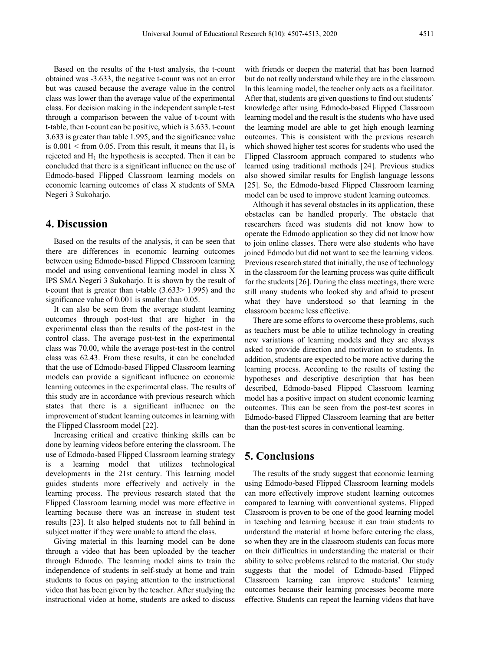Based on the results of the t-test analysis, the t-count obtained was -3.633, the negative t-count was not an error but was caused because the average value in the control class was lower than the average value of the experimental class. For decision making in the independent sample t-test through a comparison between the value of t-count with t-table, then t-count can be positive, which is 3.633. t-count 3.633 is greater than table 1.995, and the significance value is  $0.001 \leq$  from 0.05. From this result, it means that H<sub>0</sub> is rejected and  $H_1$  the hypothesis is accepted. Then it can be concluded that there is a significant influence on the use of Edmodo-based Flipped Classroom learning models on economic learning outcomes of class X students of SMA Negeri 3 Sukoharjo.

## **4. Discussion**

Based on the results of the analysis, it can be seen that there are differences in economic learning outcomes between using Edmodo-based Flipped Classroom learning model and using conventional learning model in class X IPS SMA Negeri 3 Sukoharjo. It is shown by the result of t-count that is greater than t-table (3.633> 1.995) and the significance value of 0.001 is smaller than 0.05.

It can also be seen from the average student learning outcomes through post-test that are higher in the experimental class than the results of the post-test in the control class. The average post-test in the experimental class was 70.00, while the average post-test in the control class was 62.43. From these results, it can be concluded that the use of Edmodo-based Flipped Classroom learning models can provide a significant influence on economic learning outcomes in the experimental class. The results of this study are in accordance with previous research which states that there is a significant influence on the improvement of student learning outcomes in learning with the Flipped Classroom model [22].

Increasing critical and creative thinking skills can be done by learning videos before entering the classroom. The use of Edmodo-based Flipped Classroom learning strategy is a learning model that utilizes technological developments in the 21st century. This learning model guides students more effectively and actively in the learning process. The previous research stated that the Flipped Classroom learning model was more effective in learning because there was an increase in student test results [23]. It also helped students not to fall behind in subject matter if they were unable to attend the class.

Giving material in this learning model can be done through a video that has been uploaded by the teacher through Edmodo. The learning model aims to train the independence of students in self-study at home and train students to focus on paying attention to the instructional video that has been given by the teacher. After studying the instructional video at home, students are asked to discuss

with friends or deepen the material that has been learned but do not really understand while they are in the classroom. In this learning model, the teacher only acts as a facilitator. After that, students are given questions to find out students' knowledge after using Edmodo-based Flipped Classroom learning model and the result is the students who have used the learning model are able to get high enough learning outcomes. This is consistent with the previous research which showed higher test scores for students who used the Flipped Classroom approach compared to students who learned using traditional methods [24]. Previous studies also showed similar results for English language lessons [25]. So, the Edmodo-based Flipped Classroom learning model can be used to improve student learning outcomes.

Although it has several obstacles in its application, these obstacles can be handled properly. The obstacle that researchers faced was students did not know how to operate the Edmodo application so they did not know how to join online classes. There were also students who have joined Edmodo but did not want to see the learning videos. Previous research stated that initially, the use of technology in the classroom for the learning process was quite difficult for the students [26]. During the class meetings, there were still many students who looked shy and afraid to present what they have understood so that learning in the classroom became less effective.

There are some efforts to overcome these problems, such as teachers must be able to utilize technology in creating new variations of learning models and they are always asked to provide direction and motivation to students. In addition, students are expected to be more active during the learning process. According to the results of testing the hypotheses and descriptive description that has been described, Edmodo-based Flipped Classroom learning model has a positive impact on student economic learning outcomes. This can be seen from the post-test scores in Edmodo-based Flipped Classroom learning that are better than the post-test scores in conventional learning.

## **5. Conclusions**

The results of the study suggest that economic learning using Edmodo-based Flipped Classroom learning models can more effectively improve student learning outcomes compared to learning with conventional systems. Flipped Classroom is proven to be one of the good learning model in teaching and learning because it can train students to understand the material at home before entering the class, so when they are in the classroom students can focus more on their difficulties in understanding the material or their ability to solve problems related to the material. Our study suggests that the model of Edmodo-based Flipped Classroom learning can improve students' learning outcomes because their learning processes become more effective. Students can repeat the learning videos that have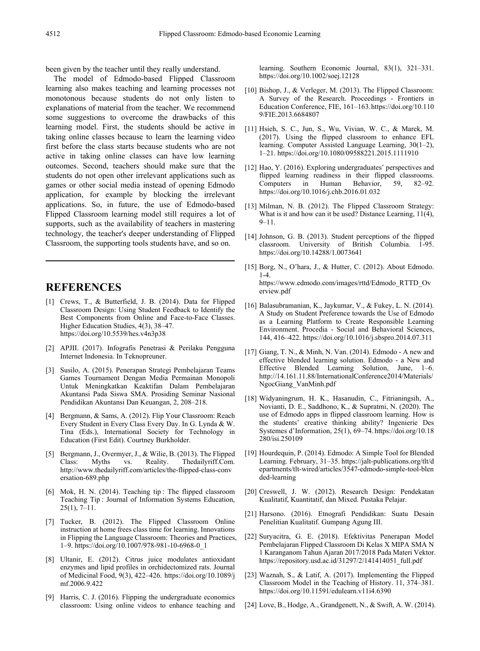been given by the teacher until they really understand.

The model of Edmodo-based Flipped Classroom learning also makes teaching and learning processes not monotonous because students do not only listen to explanations of material from the teacher. We recommend some suggestions to overcome the drawbacks of this learning model. First, the students should be active in taking online classes because to learn the learning video first before the class starts because students who are not active in taking online classes can have low learning outcomes. Second, teachers should make sure that the students do not open other irrelevant applications such as games or other social media instead of opening Edmodo application, for example by blocking the irrelevant applications. So, in future, the use of Edmodo-based Flipped Classroom learning model still requires a lot of supports, such as the availability of teachers in mastering technology, the teacher's deeper understanding of Flipped Classroom, the supporting tools students have, and so on.

## **REFERENCES**

- [1] Crews, T., & Butterfield, J. B. (2014). Data for Flipped Classroom Design: Using Student Feedback to Identify the Best Components from Online and Face-to-Face Classes. Higher Education Studies, 4(3), 38–47. https://doi.org/10.5539/hes.v4n3p38
- [2] APJII. (2017). Infografis Penetrasi & Perilaku Pengguna Internet Indonesia. In Teknopreuner.
- [3] Susilo, A. (2015). Penerapan Strategi Pembelajaran Teams Games Tournament Dengan Media Permainan Monopoli Untuk Meningkatkan Keaktifan Dalam Pembelajaran Akuntansi Pada Siswa SMA. Prosiding Seminar Nasional Pendidikan Akuntansi Dan Keuangan, 2, 208–218.
- [4] Bergmann, & Sams, A. (2012). Flip Your Classroom: Reach Every Student in Every Class Every Day. In G. Lynda & W. Tina (Eds.), International Society for Technology in Education (First Edit). Courtney Burkholder.
- [5] Bergmann, J., Overmyer, J., & Wilie, B. (2013). The Flipped<br>Class: Myths vs. Reality. The daily riff. Com. Class: Myths vs. Reality. Thedailyriff.Com. http://www.thedailyriff.com/articles/the-flipped-class-conv ersation-689.php
- [6] Mok, H. N. (2014). Teaching tip : The flipped classroom Teaching Tip : Journal of Information Systems Education, 25(1), 7–11.
- [7] Tucker, B. (2012). The Flipped Classroom Online instruction at home frees class time for learning. Innovations in Flipping the Language Classroom: Theories and Practices, 1–9. https://doi.org/10.1007/978-981-10-6968-0\_1
- [8] Ultanir, E. (2012). Citrus juice modulates antioxidant enzymes and lipid profiles in orchidectomized rats. Journal of Medicinal Food, 9(3), 422–426. https://doi.org/10.1089/j mf.2006.9.422
- [9] Harris, C. J. (2016). Flipping the undergraduate economics classroom: Using online videos to enhance teaching and

learning. Southern Economic Journal, 83(1), 321–331. https://doi.org/10.1002/soej.12128

- [10] Bishop, J., & Verleger, M. (2013). The Flipped Classroom: A Survey of the Research. Proceedings - Frontiers in Education Conference, FIE, 161–163.https://doi.org/10.110 9/FIE.2013.6684807
- [11] Hsieh, S. C., Jun, S., Wu, Vivian, W. C., & Marek, M. (2017). Using the flipped classroom to enhance EFL learning. Computer Assisted Language Learning, 30(1–2), 1–21. https://doi.org/10.1080/09588221.2015.1111910
- [12] Hao, Y. (2016). Exploring undergraduates' perspectives and flipped learning readiness in their flipped classrooms. Computers in Human Behavior, 59, 82–92. https://doi.org/10.1016/j.chb.2016.01.032
- [13] Milman, N. B. (2012). The Flipped Classroom Strategy: What is it and how can it be used? Distance Learning, 11(4), 9–11.
- [14] Johnson, G. B. (2013). Student perceptions of the flipped classroom. University of British Columbia. 1-95. https://doi.org/10.14288/1.0073641
- [15] Borg, N., O'hara, J., & Hutter, C. (2012). About Edmodo. 1-4. https://www.edmodo.com/images/rttd/Edmodo\_RTTD\_Ov erview.pdf
- [16] Balasubramanian, K., Jaykumar, V., & Fukey, L. N. (2014). A Study on Student Preference towards the Use of Edmodo as a Learning Platform to Create Responsible Learning Environment. Procedia - Social and Behavioral Sciences, 144, 416–422. https://doi.org/10.1016/j.sbspro.2014.07.311
- [17] Giang, T. N., & Minh, N. Van. (2014). Edmodo A new and effective blended learning solution. Edmodo - a New and Effective Blended Learning Solution, June, 1–6. http://14.161.11.88/InternationalConference2014/Materials/ NgocGiang\_VanMinh.pdf
- [18] Widyaningrum, H. K., Hasanudin, C., Fitrianingsih, A., Novianti, D. E., Saddhono, K., & Supratmi, N. (2020). The use of Edmodo apps in flipped classroom learning. How is the students' creative thinking ability? Ingenierie Des Systemes d'Information, 25(1), 69–74. https://doi.org/10.18 280/isi.250109
- [19] Hourdequin, P. (2014). Edmodo: A Simple Tool for Blended Learning. February, 31–35. https://jalt-publications.org/tlt/d epartments/tlt-wired/articles/3547-edmodo-simple-tool-blen ded-learning
- [20] Creswell, J. W. (2012). Research Design: Pendekatan Kualitatif, Kuantitatif, dan Mixed. Pustaka Pelajar.
- [21] Harsono. (2016). Etnografi Pendidikan: Suatu Desain Penelitian Kualitatif. Gumpang Agung III.
- [22] Suryacitra, G. E. (2018). Efektivitas Penerapan Model Pembelajaran Flipped Classroom Di Kelas X MIPA SMA N 1 Karanganom Tahun Ajaran 2017/2018 Pada Materi Vektor. https://repository.usd.ac.id/31297/2/141414051\_full.pdf
- [23] Waznah, S., & Latif, A. (2017). Implementing the Flipped Classroom Model in the Teaching of History. 11, 374–381. https://doi.org/10.11591/edulearn.v11i4.6390
- [24] Love, B., Hodge, A., Grandgenett, N., & Swift, A. W. (2014).